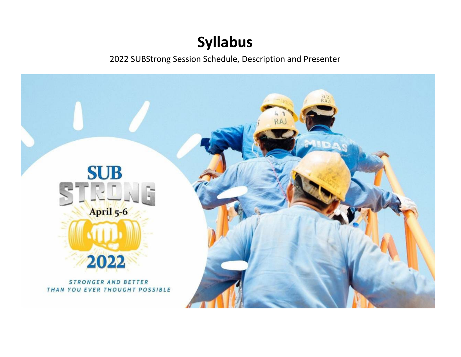## **Syllabus**

2022 SUBStrong Session Schedule, Description and Presenter

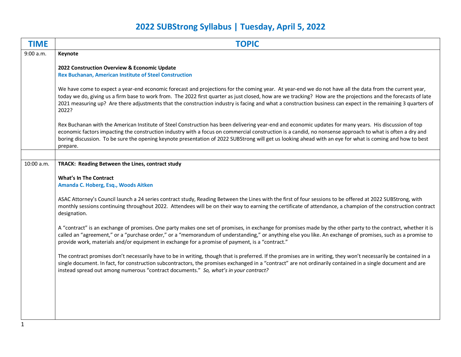## **2022 SUBStrong Syllabus | Tuesday, April 5, 2022**

| <b>TIME</b> | <b>TOPIC</b>                                                                                                                                                                                                                                                                                                                                                                                                                                                                                       |
|-------------|----------------------------------------------------------------------------------------------------------------------------------------------------------------------------------------------------------------------------------------------------------------------------------------------------------------------------------------------------------------------------------------------------------------------------------------------------------------------------------------------------|
| 9:00 a.m.   | Keynote                                                                                                                                                                                                                                                                                                                                                                                                                                                                                            |
|             | 2022 Construction Overview & Economic Update<br><b>Rex Buchanan, American Institute of Steel Construction</b>                                                                                                                                                                                                                                                                                                                                                                                      |
|             | We have come to expect a year-end economic forecast and projections for the coming year. At year-end we do not have all the data from the current year,<br>today we do, giving us a firm base to work from. The 2022 first quarter as just closed, how are we tracking? How are the projections and the forecasts of late<br>2021 measuring up? Are there adjustments that the construction industry is facing and what a construction business can expect in the remaining 3 quarters of<br>2022? |
|             | Rex Buchanan with the American Institute of Steel Construction has been delivering year-end and economic updates for many years. His discussion of top<br>economic factors impacting the construction industry with a focus on commercial construction is a candid, no nonsense approach to what is often a dry and<br>boring discussion. To be sure the opening keynote presentation of 2022 SUBStrong will get us looking ahead with an eye for what is coming and how to best<br>prepare.       |
|             |                                                                                                                                                                                                                                                                                                                                                                                                                                                                                                    |
| 10:00 a.m.  | TRACK: Reading Between the Lines, contract study                                                                                                                                                                                                                                                                                                                                                                                                                                                   |
|             | <b>What's In The Contract</b><br>Amanda C. Hoberg, Esq., Woods Aitken                                                                                                                                                                                                                                                                                                                                                                                                                              |
|             | ASAC Attorney's Council launch a 24 series contract study, Reading Between the Lines with the first of four sessions to be offered at 2022 SUBStrong, with<br>monthly sessions continuing throughout 2022. Attendees will be on their way to earning the certificate of attendance, a champion of the construction contract<br>designation.                                                                                                                                                        |
|             | A "contract" is an exchange of promises. One party makes one set of promises, in exchange for promises made by the other party to the contract, whether it is<br>called an "agreement," or a "purchase order," or a "memorandum of understanding," or anything else you like. An exchange of promises, such as a promise to<br>provide work, materials and/or equipment in exchange for a promise of payment, is a "contract."                                                                     |
|             | The contract promises don't necessarily have to be in writing, though that is preferred. If the promises are in writing, they won't necessarily be contained in a<br>single document. In fact, for construction subcontractors, the promises exchanged in a "contract" are not ordinarily contained in a single document and are<br>instead spread out among numerous "contract documents." So, what's in your contract?                                                                           |
|             |                                                                                                                                                                                                                                                                                                                                                                                                                                                                                                    |
|             |                                                                                                                                                                                                                                                                                                                                                                                                                                                                                                    |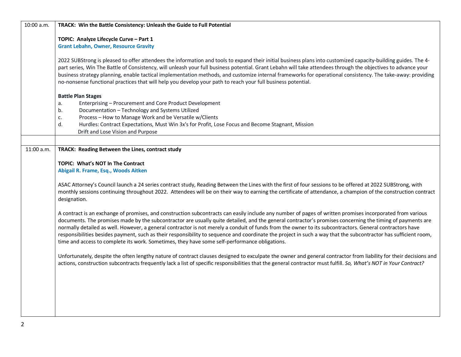| 10:00 a.m. | TRACK: Win the Battle Consistency: Unleash the Guide to Full Potential                                                                                            |
|------------|-------------------------------------------------------------------------------------------------------------------------------------------------------------------|
|            | TOPIC: Analyze Lifecycle Curve - Part 1                                                                                                                           |
|            | <b>Grant Lebahn, Owner, Resource Gravity</b>                                                                                                                      |
|            |                                                                                                                                                                   |
|            | 2022 SUBStrong is pleased to offer attendees the information and tools to expand their initial business plans into customized capacity-building guides. The 4-    |
|            | part series, Win The Battle of Consistency, will unleash your full business potential. Grant Lebahn will take attendees through the objectives to advance your    |
|            | business strategy planning, enable tactical implementation methods, and customize internal frameworks for operational consistency. The take-away: providing       |
|            | no-nonsense functional practices that will help you develop your path to reach your full business potential.                                                      |
|            | <b>Battle Plan Stages</b>                                                                                                                                         |
|            | Enterprising - Procurement and Core Product Development<br>a.                                                                                                     |
|            | Documentation - Technology and Systems Utilized<br>b.                                                                                                             |
|            | Process - How to Manage Work and be Versatile w/Clients<br>c.                                                                                                     |
|            | d.<br>Hurdles: Contract Expectations, Must Win 3x's for Profit, Lose Focus and Become Stagnant, Mission                                                           |
|            | Drift and Lose Vision and Purpose                                                                                                                                 |
|            |                                                                                                                                                                   |
| 11:00 a.m. | TRACK: Reading Between the Lines, contract study                                                                                                                  |
|            |                                                                                                                                                                   |
|            | <b>TOPIC: What's NOT In The Contract</b>                                                                                                                          |
|            | Abigail R. Frame, Esq., Woods Aitken                                                                                                                              |
|            | ASAC Attorney's Council launch a 24 series contract study, Reading Between the Lines with the first of four sessions to be offered at 2022 SUBStrong, with        |
|            | monthly sessions continuing throughout 2022. Attendees will be on their way to earning the certificate of attendance, a champion of the construction contract     |
|            | designation.                                                                                                                                                      |
|            |                                                                                                                                                                   |
|            | A contract is an exchange of promises, and construction subcontracts can easily include any number of pages of written promises incorporated from various         |
|            | documents. The promises made by the subcontractor are usually quite detailed, and the general contractor's promises concerning the timing of payments are         |
|            | normally detailed as well. However, a general contractor is not merely a conduit of funds from the owner to its subcontractors. General contractors have          |
|            | responsibilities besides payment, such as their responsibility to sequence and coordinate the project in such a way that the subcontractor has sufficient room,   |
|            | time and access to complete its work. Sometimes, they have some self-performance obligations.                                                                     |
|            | Unfortunately, despite the often lengthy nature of contract clauses designed to exculpate the owner and general contractor from liability for their decisions and |
|            | actions, construction subcontracts frequently lack a list of specific responsibilities that the general contractor must fulfill. So, What's NOT in Your Contract? |
|            |                                                                                                                                                                   |
|            |                                                                                                                                                                   |
|            |                                                                                                                                                                   |
|            |                                                                                                                                                                   |
|            |                                                                                                                                                                   |
|            |                                                                                                                                                                   |
|            |                                                                                                                                                                   |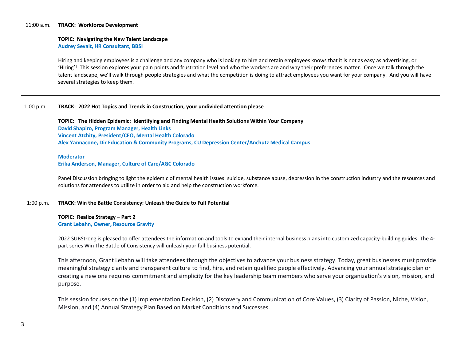| 11:00 a.m. | <b>TRACK: Workforce Development</b>                                                                                                                                                                                                                                                                                                                                                                                                                                                                                    |
|------------|------------------------------------------------------------------------------------------------------------------------------------------------------------------------------------------------------------------------------------------------------------------------------------------------------------------------------------------------------------------------------------------------------------------------------------------------------------------------------------------------------------------------|
|            | TOPIC: Navigating the New Talent Landscape<br><b>Audrey Sevalt, HR Consultant, BBSI</b>                                                                                                                                                                                                                                                                                                                                                                                                                                |
|            | Hiring and keeping employees is a challenge and any company who is looking to hire and retain employees knows that it is not as easy as advertising, or<br>'Hiring'! This session explores your pain points and frustration level and who the workers are and why their preferences matter. Once we talk through the<br>talent landscape, we'll walk through people strategies and what the competition is doing to attract employees you want for your company. And you will have<br>several strategies to keep them. |
| 1:00 p.m.  | TRACK: 2022 Hot Topics and Trends in Construction, your undivided attention please                                                                                                                                                                                                                                                                                                                                                                                                                                     |
|            |                                                                                                                                                                                                                                                                                                                                                                                                                                                                                                                        |
|            | TOPIC: The Hidden Epidemic: Identifying and Finding Mental Health Solutions Within Your Company                                                                                                                                                                                                                                                                                                                                                                                                                        |
|            | David Shapiro, Program Manager, Health Links                                                                                                                                                                                                                                                                                                                                                                                                                                                                           |
|            | Vincent Atchity, President/CEO, Mental Health Colorado                                                                                                                                                                                                                                                                                                                                                                                                                                                                 |
|            | Alex Yannacone, Dir Education & Community Programs, CU Depression Center/Anchutz Medical Campus                                                                                                                                                                                                                                                                                                                                                                                                                        |
|            | <b>Moderator</b>                                                                                                                                                                                                                                                                                                                                                                                                                                                                                                       |
|            | Erika Anderson, Manager, Culture of Care/AGC Colorado                                                                                                                                                                                                                                                                                                                                                                                                                                                                  |
|            |                                                                                                                                                                                                                                                                                                                                                                                                                                                                                                                        |
|            | Panel Discussion bringing to light the epidemic of mental health issues: suicide, substance abuse, depression in the construction industry and the resources and<br>solutions for attendees to utilize in order to aid and help the construction workforce.                                                                                                                                                                                                                                                            |
|            |                                                                                                                                                                                                                                                                                                                                                                                                                                                                                                                        |
| 1:00 p.m.  | TRACK: Win the Battle Consistency: Unleash the Guide to Full Potential                                                                                                                                                                                                                                                                                                                                                                                                                                                 |
|            |                                                                                                                                                                                                                                                                                                                                                                                                                                                                                                                        |
|            | TOPIC: Realize Strategy - Part 2<br><b>Grant Lebahn, Owner, Resource Gravity</b>                                                                                                                                                                                                                                                                                                                                                                                                                                       |
|            |                                                                                                                                                                                                                                                                                                                                                                                                                                                                                                                        |
|            | 2022 SUBStrong is pleased to offer attendees the information and tools to expand their internal business plans into customized capacity-building guides. The 4-                                                                                                                                                                                                                                                                                                                                                        |
|            | part series Win The Battle of Consistency will unleash your full business potential.                                                                                                                                                                                                                                                                                                                                                                                                                                   |
|            | This afternoon, Grant Lebahn will take attendees through the objectives to advance your business strategy. Today, great businesses must provide                                                                                                                                                                                                                                                                                                                                                                        |
|            | meaningful strategy clarity and transparent culture to find, hire, and retain qualified people effectively. Advancing your annual strategic plan or                                                                                                                                                                                                                                                                                                                                                                    |
|            | creating a new one requires commitment and simplicity for the key leadership team members who serve your organization's vision, mission, and                                                                                                                                                                                                                                                                                                                                                                           |
|            | purpose.                                                                                                                                                                                                                                                                                                                                                                                                                                                                                                               |
|            |                                                                                                                                                                                                                                                                                                                                                                                                                                                                                                                        |
|            | This session focuses on the (1) Implementation Decision, (2) Discovery and Communication of Core Values, (3) Clarity of Passion, Niche, Vision,                                                                                                                                                                                                                                                                                                                                                                        |
|            | Mission, and (4) Annual Strategy Plan Based on Market Conditions and Successes.                                                                                                                                                                                                                                                                                                                                                                                                                                        |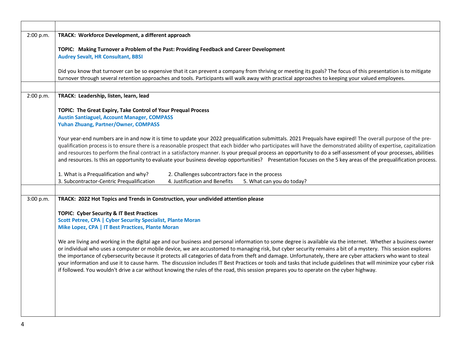| 2:00 p.m. | TRACK: Workforce Development, a different approach                                                                                                                                                                                                                                                                                                                                                                                                                                                                                                                                                                                                                                                                                                                                                             |
|-----------|----------------------------------------------------------------------------------------------------------------------------------------------------------------------------------------------------------------------------------------------------------------------------------------------------------------------------------------------------------------------------------------------------------------------------------------------------------------------------------------------------------------------------------------------------------------------------------------------------------------------------------------------------------------------------------------------------------------------------------------------------------------------------------------------------------------|
|           | TOPIC: Making Turnover a Problem of the Past: Providing Feedback and Career Development                                                                                                                                                                                                                                                                                                                                                                                                                                                                                                                                                                                                                                                                                                                        |
|           | <b>Audrey Sevalt, HR Consultant, BBSI</b>                                                                                                                                                                                                                                                                                                                                                                                                                                                                                                                                                                                                                                                                                                                                                                      |
|           | Did you know that turnover can be so expensive that it can prevent a company from thriving or meeting its goals? The focus of this presentation is to mitigate<br>turnover through several retention approaches and tools. Participants will walk away with practical approaches to keeping your valued employees.                                                                                                                                                                                                                                                                                                                                                                                                                                                                                             |
|           |                                                                                                                                                                                                                                                                                                                                                                                                                                                                                                                                                                                                                                                                                                                                                                                                                |
| 2:00 p.m. | TRACK: Leadership, listen, learn, lead                                                                                                                                                                                                                                                                                                                                                                                                                                                                                                                                                                                                                                                                                                                                                                         |
|           | TOPIC: The Great Expiry, Take Control of Your Prequal Process                                                                                                                                                                                                                                                                                                                                                                                                                                                                                                                                                                                                                                                                                                                                                  |
|           | <b>Austin Santiaguel, Account Manager, COMPASS</b>                                                                                                                                                                                                                                                                                                                                                                                                                                                                                                                                                                                                                                                                                                                                                             |
|           | Yuhan Zhuang, Partner/Owner, COMPASS                                                                                                                                                                                                                                                                                                                                                                                                                                                                                                                                                                                                                                                                                                                                                                           |
|           | Your year-end numbers are in and now it is time to update your 2022 prequalification submittals. 2021 Prequals have expired! The overall purpose of the pre-<br>qualification process is to ensure there is a reasonable prospect that each bidder who participates will have the demonstrated ability of expertise, capitalization<br>and resources to perform the final contract in a satisfactory manner. Is your prequal process an opportunity to do a self-assessment of your processes, abilities<br>and resources. Is this an opportunity to evaluate your business develop opportunities? Presentation focuses on the 5 key areas of the prequalification process.                                                                                                                                    |
|           |                                                                                                                                                                                                                                                                                                                                                                                                                                                                                                                                                                                                                                                                                                                                                                                                                |
|           | 1. What is a Prequalification and why?<br>2. Challenges subcontractors face in the process<br>3. Subcontractor-Centric Prequalification<br>4. Justification and Benefits<br>5. What can you do today?                                                                                                                                                                                                                                                                                                                                                                                                                                                                                                                                                                                                          |
|           |                                                                                                                                                                                                                                                                                                                                                                                                                                                                                                                                                                                                                                                                                                                                                                                                                |
| 3:00 p.m. | TRACK: 2022 Hot Topics and Trends in Construction, your undivided attention please                                                                                                                                                                                                                                                                                                                                                                                                                                                                                                                                                                                                                                                                                                                             |
|           |                                                                                                                                                                                                                                                                                                                                                                                                                                                                                                                                                                                                                                                                                                                                                                                                                |
|           | <b>TOPIC: Cyber Security &amp; IT Best Practices</b><br><b>Scott Petree, CPA   Cyber Security Specialist, Plante Moran</b>                                                                                                                                                                                                                                                                                                                                                                                                                                                                                                                                                                                                                                                                                     |
|           | Mike Lopez, CPA   IT Best Practices, Plante Moran                                                                                                                                                                                                                                                                                                                                                                                                                                                                                                                                                                                                                                                                                                                                                              |
|           | We are living and working in the digital age and our business and personal information to some degree is available via the internet. Whether a business owner<br>or individual who uses a computer or mobile device, we are accustomed to managing risk, but cyber security remains a bit of a mystery. This session explores<br>the importance of cybersecurity because it protects all categories of data from theft and damage. Unfortunately, there are cyber attackers who want to steal<br>your information and use it to cause harm. The discussion includes IT Best Practices or tools and tasks that include guidelines that will minimize your cyber risk<br>if followed. You wouldn't drive a car without knowing the rules of the road, this session prepares you to operate on the cyber highway. |
|           |                                                                                                                                                                                                                                                                                                                                                                                                                                                                                                                                                                                                                                                                                                                                                                                                                |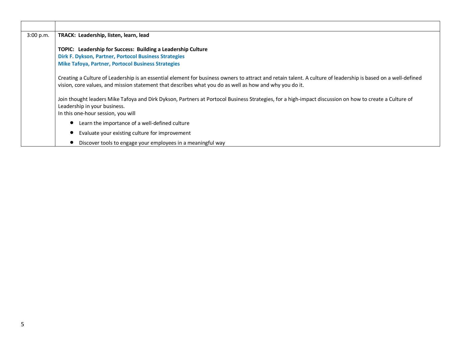| 3:00 p.m. | TRACK: Leadership, listen, learn, lead                                                                                                                                                                                                                                   |
|-----------|--------------------------------------------------------------------------------------------------------------------------------------------------------------------------------------------------------------------------------------------------------------------------|
|           | TOPIC: Leadership for Success: Building a Leadership Culture<br>Dirk F. Dykson, Partner, Portocol Business Strategies<br><b>Mike Tafoya, Partner, Portocol Business Strategies</b>                                                                                       |
|           | Creating a Culture of Leadership is an essential element for business owners to attract and retain talent. A culture of leadership is based on a well-defined<br>vision, core values, and mission statement that describes what you do as well as how and why you do it. |
|           | Join thought leaders Mike Tafoya and Dirk Dykson, Partners at Portocol Business Strategies, for a high-impact discussion on how to create a Culture of<br>Leadership in your business.<br>In this one-hour session, you will                                             |
|           | Learn the importance of a well-defined culture                                                                                                                                                                                                                           |
|           | Evaluate your existing culture for improvement                                                                                                                                                                                                                           |
|           | Discover tools to engage your employees in a meaningful way                                                                                                                                                                                                              |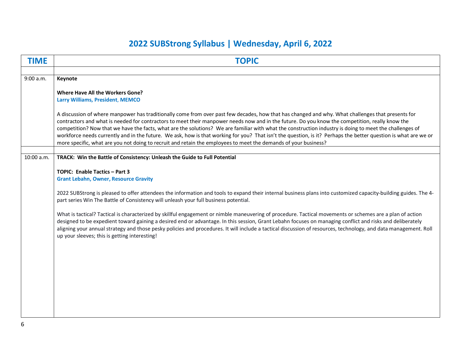## **2022 SUBStrong Syllabus | Wednesday, April 6, 2022**

| <b>TIME</b> | <b>TOPIC</b>                                                                                                                                                                                                                                                                                                                  |
|-------------|-------------------------------------------------------------------------------------------------------------------------------------------------------------------------------------------------------------------------------------------------------------------------------------------------------------------------------|
|             |                                                                                                                                                                                                                                                                                                                               |
| 9:00 a.m.   | Keynote                                                                                                                                                                                                                                                                                                                       |
|             | <b>Where Have All the Workers Gone?</b>                                                                                                                                                                                                                                                                                       |
|             | Larry Williams, President, MEMCO                                                                                                                                                                                                                                                                                              |
|             |                                                                                                                                                                                                                                                                                                                               |
|             | A discussion of where manpower has traditionally come from over past few decades, how that has changed and why. What challenges that presents for                                                                                                                                                                             |
|             | contractors and what is needed for contractors to meet their manpower needs now and in the future. Do you know the competition, really know the                                                                                                                                                                               |
|             | competition? Now that we have the facts, what are the solutions? We are familiar with what the construction industry is doing to meet the challenges of<br>workforce needs currently and in the future. We ask, how is that working for you? That isn't the question, is it? Perhaps the better question is what are we or    |
|             | more specific, what are you not doing to recruit and retain the employees to meet the demands of your business?                                                                                                                                                                                                               |
|             |                                                                                                                                                                                                                                                                                                                               |
| 10:00 a.m.  | TRACK: Win the Battle of Consistency: Unleash the Guide to Full Potential                                                                                                                                                                                                                                                     |
|             |                                                                                                                                                                                                                                                                                                                               |
|             | TOPIC: Enable Tactics - Part 3<br><b>Grant Lebahn, Owner, Resource Gravity</b>                                                                                                                                                                                                                                                |
|             |                                                                                                                                                                                                                                                                                                                               |
|             | 2022 SUBStrong is pleased to offer attendees the information and tools to expand their internal business plans into customized capacity-building guides. The 4-                                                                                                                                                               |
|             | part series Win The Battle of Consistency will unleash your full business potential.                                                                                                                                                                                                                                          |
|             |                                                                                                                                                                                                                                                                                                                               |
|             | What is tactical? Tactical is characterized by skillful engagement or nimble maneuvering of procedure. Tactical movements or schemes are a plan of action                                                                                                                                                                     |
|             | designed to be expedient toward gaining a desired end or advantage. In this session, Grant Lebahn focuses on managing conflict and risks and deliberately<br>aligning your annual strategy and those pesky policies and procedures. It will include a tactical discussion of resources, technology, and data management. Roll |
|             | up your sleeves; this is getting interesting!                                                                                                                                                                                                                                                                                 |
|             |                                                                                                                                                                                                                                                                                                                               |
|             |                                                                                                                                                                                                                                                                                                                               |
|             |                                                                                                                                                                                                                                                                                                                               |
|             |                                                                                                                                                                                                                                                                                                                               |
|             |                                                                                                                                                                                                                                                                                                                               |
|             |                                                                                                                                                                                                                                                                                                                               |
|             |                                                                                                                                                                                                                                                                                                                               |
|             |                                                                                                                                                                                                                                                                                                                               |
|             |                                                                                                                                                                                                                                                                                                                               |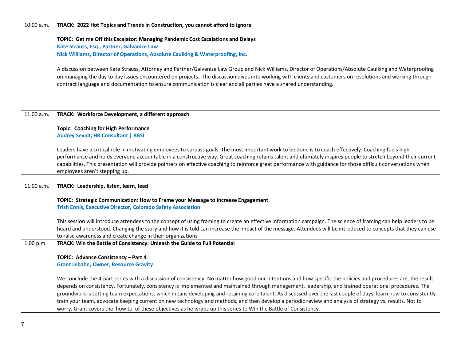| 10:00 a.m. | TRACK: 2022 Hot Topics and Trends in Construction, you cannot afford to ignore                                                                                                                                                                                                                                                    |
|------------|-----------------------------------------------------------------------------------------------------------------------------------------------------------------------------------------------------------------------------------------------------------------------------------------------------------------------------------|
|            | TOPIC: Get me Off this Escalator: Managing Pandemic Cost Escalations and Delays                                                                                                                                                                                                                                                   |
|            | Kate Strauss, Esq., Partner, Galvanize Law                                                                                                                                                                                                                                                                                        |
|            | Nick Williams, Director of Operations, Absolute Caulking & Waterproofing, Inc.                                                                                                                                                                                                                                                    |
|            |                                                                                                                                                                                                                                                                                                                                   |
|            | A discussion between Kate Strauss, Attorney and Partner/Galvanize Law Group and Nick Williams, Director of Operations/Absolute Caulking and Waterproofing                                                                                                                                                                         |
|            | on managing the day to day issues encountered on projects. The discussion dives into working with clients and customers on resolutions and working through<br>contract language and documentation to ensure communication is clear and all parties have a shared understanding.                                                   |
|            |                                                                                                                                                                                                                                                                                                                                   |
|            |                                                                                                                                                                                                                                                                                                                                   |
|            |                                                                                                                                                                                                                                                                                                                                   |
| 11:00 a.m. | TRACK: Workforce Development, a different approach                                                                                                                                                                                                                                                                                |
|            | <b>Topic: Coaching for High Performance</b>                                                                                                                                                                                                                                                                                       |
|            | <b>Audrey Sevalt, HR Consultant   BBSI</b>                                                                                                                                                                                                                                                                                        |
|            |                                                                                                                                                                                                                                                                                                                                   |
|            | Leaders have a critical role in motivating employees to surpass goals. The most important work to be done is to coach effectively. Coaching fuels high                                                                                                                                                                            |
|            | performance and holds everyone accountable in a constructive way. Great coaching retains talent and ultimately inspires people to stretch beyond their current<br>capabilities. This presentation will provide pointers on effective coaching to reinforce great performance with guidance for those difficult conversations when |
|            | employees aren't stepping up.                                                                                                                                                                                                                                                                                                     |
|            |                                                                                                                                                                                                                                                                                                                                   |
| 11:00 a.m. | TRACK: Leadership, listen, learn, lead                                                                                                                                                                                                                                                                                            |
|            | TOPIC: Strategic Communication: How to Frame your Message to Increase Engagement                                                                                                                                                                                                                                                  |
|            | <b>Trish Ennis, Executive Director, Colorado Safety Association</b>                                                                                                                                                                                                                                                               |
|            |                                                                                                                                                                                                                                                                                                                                   |
|            | This session will introduce attendees to the concept of using framing to create an effective information campaign. The science of framing can help leaders to be                                                                                                                                                                  |
|            | heard and understood. Changing the story and how it is told can increase the impact of the message. Attendees will be introduced to concepts that they can use                                                                                                                                                                    |
|            | to raise awareness and create change in their organizations                                                                                                                                                                                                                                                                       |
| 1:00 p.m.  | TRACK: Win the Battle of Consistency: Unleash the Guide to Full Potential                                                                                                                                                                                                                                                         |
|            | TOPIC: Advance Consistency - Part 4                                                                                                                                                                                                                                                                                               |
|            | <b>Grant Lebahn, Owner, Resource Gravity</b>                                                                                                                                                                                                                                                                                      |
|            |                                                                                                                                                                                                                                                                                                                                   |
|            | We conclude the 4-part series with a discussion of consistency. No matter how good our intentions and how specific the policies and procedures are, the result<br>depends on consistency. Fortunately, consistency is implemented and maintained through management, leadership, and trained operational procedures. The          |
|            | groundwork is setting team expectations, which means developing and retaining core talent. As discussed over the last couple of days, learn how to consistently                                                                                                                                                                   |
|            | train your team, advocate keeping current on new technology and methods, and then develop a periodic review and analysis of strategy vs. results. Not to                                                                                                                                                                          |
|            | worry, Grant covers the 'how to' of these objectives as he wraps up this series to Win the Battle of Consistency.                                                                                                                                                                                                                 |

7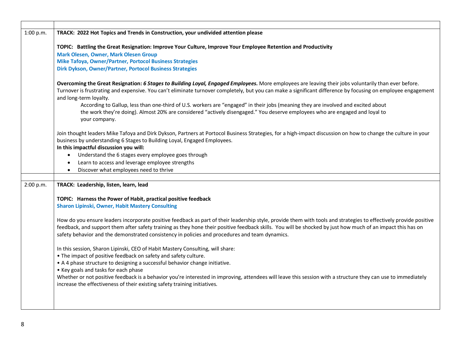| 1:00 p.m. | TRACK: 2022 Hot Topics and Trends in Construction, your undivided attention please                                                                                                                                                         |
|-----------|--------------------------------------------------------------------------------------------------------------------------------------------------------------------------------------------------------------------------------------------|
|           | TOPIC: Battling the Great Resignation: Improve Your Culture, Improve Your Employee Retention and Productivity                                                                                                                              |
|           | <b>Mark Olesen, Owner, Mark Olesen Group</b>                                                                                                                                                                                               |
|           | Mike Tafoya, Owner/Partner, Portocol Business Strategies                                                                                                                                                                                   |
|           | Dirk Dykson, Owner/Partner, Portocol Business Strategies                                                                                                                                                                                   |
|           | Overcoming the Great Resignation: 6 Stages to Building Loyal, Engaged Employees. More employees are leaving their jobs voluntarily than ever before.                                                                                       |
|           | Turnover is frustrating and expensive. You can't eliminate turnover completely, but you can make a significant difference by focusing on employee engagement<br>and long-term loyalty.                                                     |
|           | According to Gallup, less than one-third of U.S. workers are "engaged" in their jobs (meaning they are involved and excited about                                                                                                          |
|           | the work they're doing). Almost 20% are considered "actively disengaged." You deserve employees who are engaged and loyal to<br>your company.                                                                                              |
|           |                                                                                                                                                                                                                                            |
|           | Join thought leaders Mike Tafoya and Dirk Dykson, Partners at Portocol Business Strategies, for a high-impact discussion on how to change the culture in your<br>business by understanding 6 Stages to Building Loyal, Engaged Employees.  |
|           | In this impactful discussion you will:                                                                                                                                                                                                     |
|           | Understand the 6 stages every employee goes through<br>$\bullet$                                                                                                                                                                           |
|           | Learn to access and leverage employee strengths<br>$\bullet$                                                                                                                                                                               |
|           | Discover what employees need to thrive<br>$\bullet$                                                                                                                                                                                        |
|           |                                                                                                                                                                                                                                            |
| 2:00 p.m. | TRACK: Leadership, listen, learn, lead                                                                                                                                                                                                     |
|           | TOPIC: Harness the Power of Habit, practical positive feedback                                                                                                                                                                             |
|           | <b>Sharon Lipinski, Owner, Habit Mastery Consulting</b>                                                                                                                                                                                    |
|           | How do you ensure leaders incorporate positive feedback as part of their leadership style, provide them with tools and strategies to effectively provide positive                                                                          |
|           | feedback, and support them after safety training as they hone their positive feedback skills. You will be shocked by just how much of an impact this has on                                                                                |
|           | safety behavior and the demonstrated consistency in policies and procedures and team dynamics.                                                                                                                                             |
|           | In this session, Sharon Lipinski, CEO of Habit Mastery Consulting, will share:                                                                                                                                                             |
|           | . The impact of positive feedback on safety and safety culture.                                                                                                                                                                            |
|           | • A 4 phase structure to designing a successful behavior change initiative.                                                                                                                                                                |
|           | • Key goals and tasks for each phase                                                                                                                                                                                                       |
|           | Whether or not positive feedback is a behavior you're interested in improving, attendees will leave this session with a structure they can use to immediately<br>increase the effectiveness of their existing safety training initiatives. |
|           |                                                                                                                                                                                                                                            |
|           |                                                                                                                                                                                                                                            |